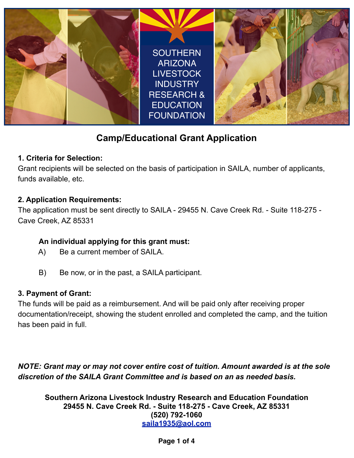

# **Camp/Educational Grant Application**

### **1. Criteria for Selection:**

Grant recipients will be selected on the basis of participation in SAILA, number of applicants, funds available, etc.

### **2. Application Requirements:**

The application must be sent directly to SAILA - 29455 N. Cave Creek Rd. - Suite 118-275 - Cave Creek, AZ 85331

### **An individual applying for this grant must:**

- A) Be a current member of SAILA.
- B) Be now, or in the past, a SAILA participant.

### **3. Payment of Grant:**

The funds will be paid as a reimbursement. And will be paid only after receiving proper documentation/receipt, showing the student enrolled and completed the camp, and the tuition has been paid in full.

*NOTE: Grant may or may not cover entire cost of tuition. Amount awarded is at the sole discretion of the SAILA Grant Committee and is based on an as needed basis.* 

**Southern Arizona Livestock Industry Research and Education Foundation 29455 N. Cave Creek Rd. - Suite 118-275 - Cave Creek, AZ 85331 (520) 792-1060 [saila1935@aol.com](mailto:saila1935@aol.com)**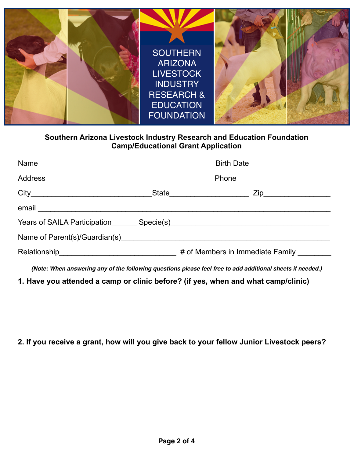

#### **Southern Arizona Livestock Industry Research and Education Foundation Camp/Educational Grant Application**

|                                                                                                                                                                                                                                | Birth Date ________________________ |
|--------------------------------------------------------------------------------------------------------------------------------------------------------------------------------------------------------------------------------|-------------------------------------|
|                                                                                                                                                                                                                                | Phone _________________________     |
|                                                                                                                                                                                                                                | State<br>Zip___________________     |
| email expression and the contract of the contract of the contract of the contract of the contract of the contract of the contract of the contract of the contract of the contract of the contract of the contract of the contr |                                     |
|                                                                                                                                                                                                                                |                                     |
|                                                                                                                                                                                                                                |                                     |
|                                                                                                                                                                                                                                | # of Members in Immediate Family    |
|                                                                                                                                                                                                                                |                                     |

*(Note: When answering any of the following questions please feel free to add additional sheets if needed.)*

**1. Have you attended a camp or clinic before? (if yes, when and what camp/clinic)**

## **2. If you receive a grant, how will you give back to your fellow Junior Livestock peers?**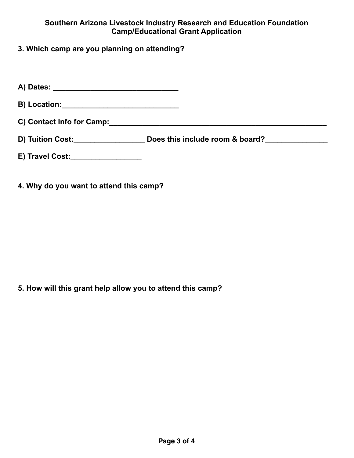#### **Southern Arizona Livestock Industry Research and Education Foundation Camp/Educational Grant Application**

**3. Which camp are you planning on attending?**

**A) Dates: \_\_\_\_\_\_\_\_\_\_\_\_\_\_\_\_\_\_\_\_\_\_\_\_\_\_\_\_\_\_**

**B) Location:\_\_\_\_\_\_\_\_\_\_\_\_\_\_\_\_\_\_\_\_\_\_\_\_\_\_\_\_**

**C) Contact Info for Camp:\_\_\_\_\_\_\_\_\_\_\_\_\_\_\_\_\_\_\_\_\_\_\_\_\_\_\_\_\_\_\_\_\_\_\_\_\_\_\_\_\_\_\_\_\_\_\_\_\_\_\_\_**

- D) Tuition Cost:\_\_\_\_\_\_\_\_\_\_\_\_\_\_\_\_\_\_\_\_\_\_Does this include room & board?\_\_\_\_\_\_\_\_\_\_\_\_
- **E) Travel Cost:\_\_\_\_\_\_\_\_\_\_\_\_\_\_\_\_\_**
- **4. Why do you want to attend this camp?**

**5. How will this grant help allow you to attend this camp?**